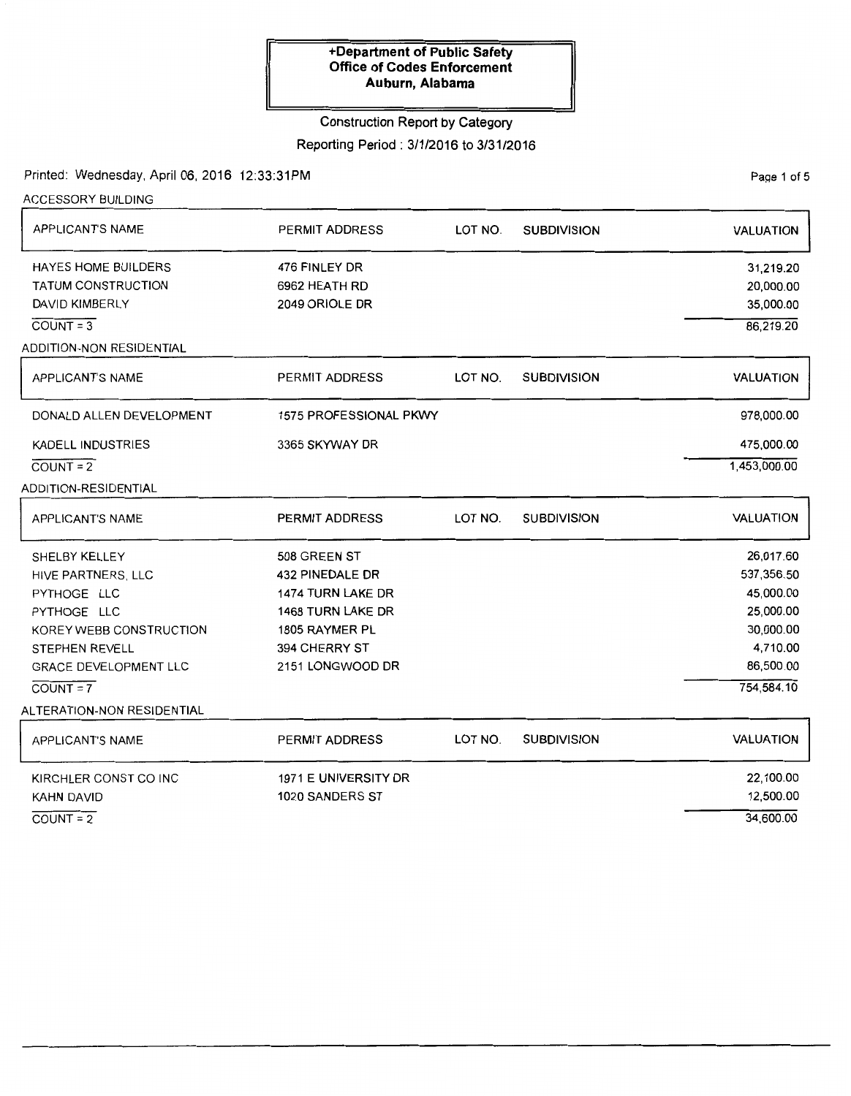# Construction Report by Category

# Reporting Period: 3/1/2016 to 3/31/2016

Printed: Wednesday, April 06, 2016 12:33:31PM

ACCESSORY BUILDING

PaQe 1 of 5

| <b>APPLICANT'S NAME</b>         | <b>PERMIT ADDRESS</b><br>LOT NO.<br><b>SUBDIVISION</b> |         | <b>VALUATION</b>   |                  |  |
|---------------------------------|--------------------------------------------------------|---------|--------------------|------------------|--|
| <b>HAYES HOME BUILDERS</b>      | 476 FINLEY DR                                          |         |                    | 31,219.20        |  |
| <b>TATUM CONSTRUCTION</b>       | 6962 HEATH RD                                          |         |                    | 20,000.00        |  |
| <b>DAVID KIMBERLY</b>           | 2049 ORIOLE DR                                         |         |                    | 35,000.00        |  |
| $COUNT = 3$                     |                                                        |         |                    | 86,219.20        |  |
| <b>ADDITION-NON RESIDENTIAL</b> |                                                        |         |                    |                  |  |
| APPLICANT'S NAME                | PERMIT ADDRESS                                         | LOT NO. | <b>SUBDIVISION</b> | <b>VALUATION</b> |  |
| DONALD ALLEN DEVELOPMENT        | 1575 PROFESSIONAL PKWY                                 |         |                    | 978,000.00       |  |
| <b>KADELL INDUSTRIES</b>        | 3365 SKYWAY DR                                         |         |                    | 475,000.00       |  |
| $COUNT = 2$                     |                                                        |         |                    | 1,453,000.00     |  |
| ADDITION-RESIDENTIAL            |                                                        |         |                    |                  |  |
| APPLICANT'S NAME                | <b>PERMIT ADDRESS</b>                                  | LOT NO. | <b>SUBDIVISION</b> | <b>VALUATION</b> |  |
| SHELBY KELLEY                   | 508 GREEN ST                                           |         |                    | 26,017.60        |  |
| HIVE PARTNERS, LLC              | <b>432 PINEDALE DR</b>                                 |         |                    | 537,356.50       |  |
| PYTHOGE LLC                     | 1474 TURN LAKE DR                                      |         |                    | 45,000.00        |  |
| PYTHOGE LLC                     | 1468 TURN LAKE DR                                      |         |                    | 25,000.00        |  |
| KOREY WEBB CONSTRUCTION         | 1805 RAYMER PL                                         |         |                    | 30,000.00        |  |
| <b>STEPHEN REVELL</b>           | 394 CHERRY ST                                          |         |                    | 4,710.00         |  |
| GRACE DEVELOPMENT LLC           | 2151 LONGWOOD DR                                       |         |                    | 86,500.00        |  |
| $COUNT = 7$                     |                                                        |         |                    | 754,584.10       |  |
| ALTERATION-NON RESIDENTIAL      |                                                        |         |                    |                  |  |
| APPLICANT'S NAME                | <b>PERMIT ADDRESS</b>                                  | LOT NO. | <b>SUBDIVISION</b> | <b>VALUATION</b> |  |
| KIRCHLER CONST CO INC           | 1971 E UNIVERSITY DR                                   |         |                    | 22,100.00        |  |
| KAHN DAVID                      | 1020 SANDERS ST                                        |         |                    | 12,500.00        |  |
| $COUNT = 2$                     |                                                        |         |                    | 34,600.00        |  |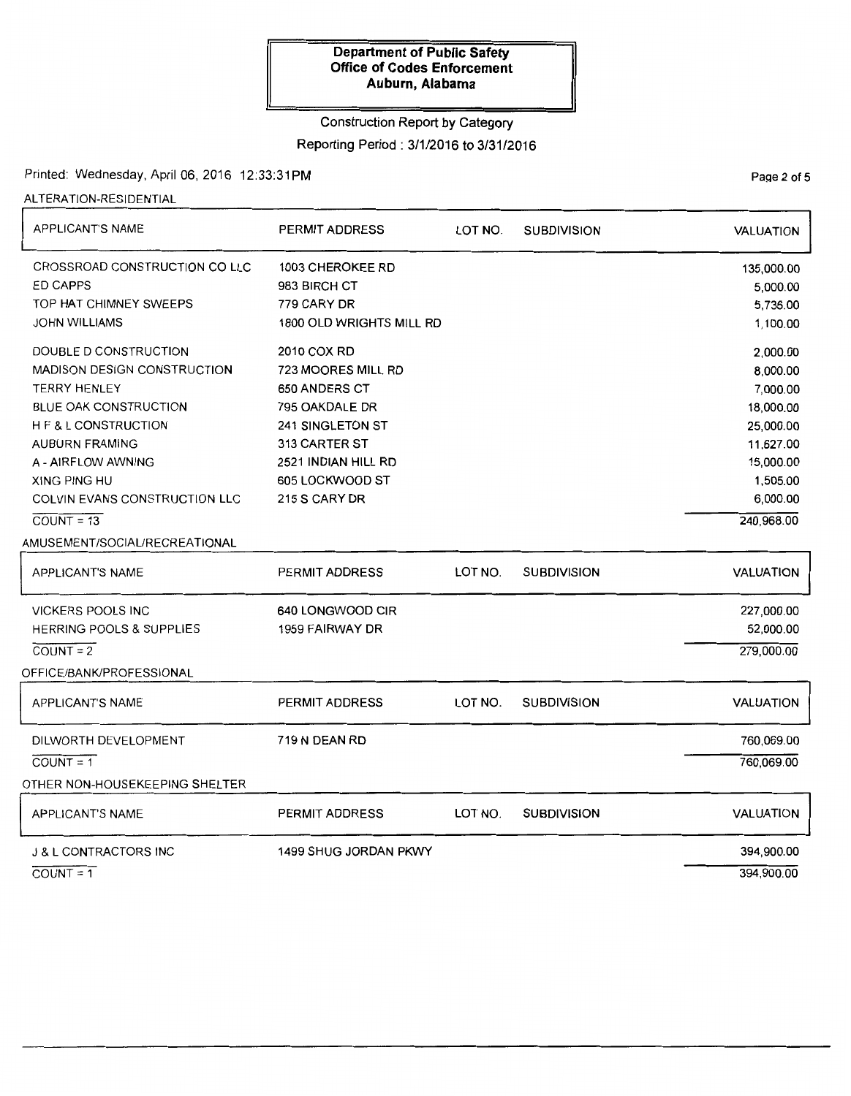## Construction Report by Category

Reporting Period: 3/1/2016 to 3/31/2016

Printed: Wednesday, April 06, 2016 12:33:31PM

ALTERATION-RESIDENTIAL

| <b>APPLICANT'S NAME</b>            | PERMIT ADDRESS           | LOT NO. | <b>SUBDIVISION</b> | <b>VALUATION</b> |
|------------------------------------|--------------------------|---------|--------------------|------------------|
| CROSSROAD CONSTRUCTION CO LLC      | 1003 CHEROKEE RD         |         |                    | 135,000.00       |
| <b>ED CAPPS</b>                    | 983 BIRCH CT             |         |                    | 5,000.00         |
| TOP HAT CHIMNEY SWEEPS             | 779 CARY DR              |         |                    | 5,736.00         |
| JOHN WILLIAMS                      | 1800 OLD WRIGHTS MILL RD |         |                    | 1,100.00         |
| DOUBLE D CONSTRUCTION              | 2010 COX RD              |         |                    | 2,000.00         |
| <b>MADISON DESIGN CONSTRUCTION</b> | 723 MOORES MILL RD       |         |                    | 8,000.00         |
| <b>TERRY HENLEY</b>                | 650 ANDERS CT            |         |                    | 7,000.00         |
| <b>BLUE OAK CONSTRUCTION</b>       | 795 OAKDALE DR           |         |                    | 18,000.00        |
| <b>HF&amp;LCONSTRUCTION</b>        | 241 SINGLETON ST         |         |                    | 25,000.00        |
| <b>AUBURN FRAMING</b>              | 313 CARTER ST            |         |                    | 11,627.00        |
| A - AIRFLOW AWNING                 | 2521 INDIAN HILL RD      |         |                    | 15,000.00        |
| XING PING HU                       | 605 LOCKWOOD ST          |         |                    | 1,505.00         |
| COLVIN EVANS CONSTRUCTION LLC      | 215 S CARY DR            |         |                    | 6,000.00         |
| $COUNT = 13$                       |                          |         |                    | 240,968.00       |
| AMUSEMENT/SOCIAL/RECREATIONAL      |                          |         |                    |                  |
| <b>APPLICANT'S NAME</b>            | PERMIT ADDRESS           | LOT NO. | <b>SUBDIVISION</b> | <b>VALUATION</b> |
| <b>VICKERS POOLS INC</b>           | 640 LONGWOOD CIR         |         |                    | 227,000.00       |
| HERRING POOLS & SUPPLIES           | 1959 FAIRWAY DR          |         |                    | 52,000.00        |
| $COUNT = 2$                        |                          |         |                    | 279,000.00       |
| OFFICE/BANK/PROFESSIONAL           |                          |         |                    |                  |
| <b>APPLICANT'S NAME</b>            | PERMIT ADDRESS           | LOT NO. | <b>SUBDIVISION</b> | <b>VALUATION</b> |
| DILWORTH DEVELOPMENT               | 719 N DEAN RD            |         |                    | 760,069.00       |
| $COUNT = 1$                        |                          |         |                    | 760,069.00       |
| OTHER NON-HOUSEKEEPING SHELTER     |                          |         |                    |                  |
| <b>APPLICANT'S NAME</b>            | PERMIT ADDRESS           | LOT NO. | <b>SUBDIVISION</b> | VALUATION        |
| <b>J &amp; L CONTRACTORS INC</b>   | 1499 SHUG JORDAN PKWY    |         |                    | 394,900.00       |
| $COUNT = 1$                        |                          |         |                    | 394,900.00       |

Page 2 of 5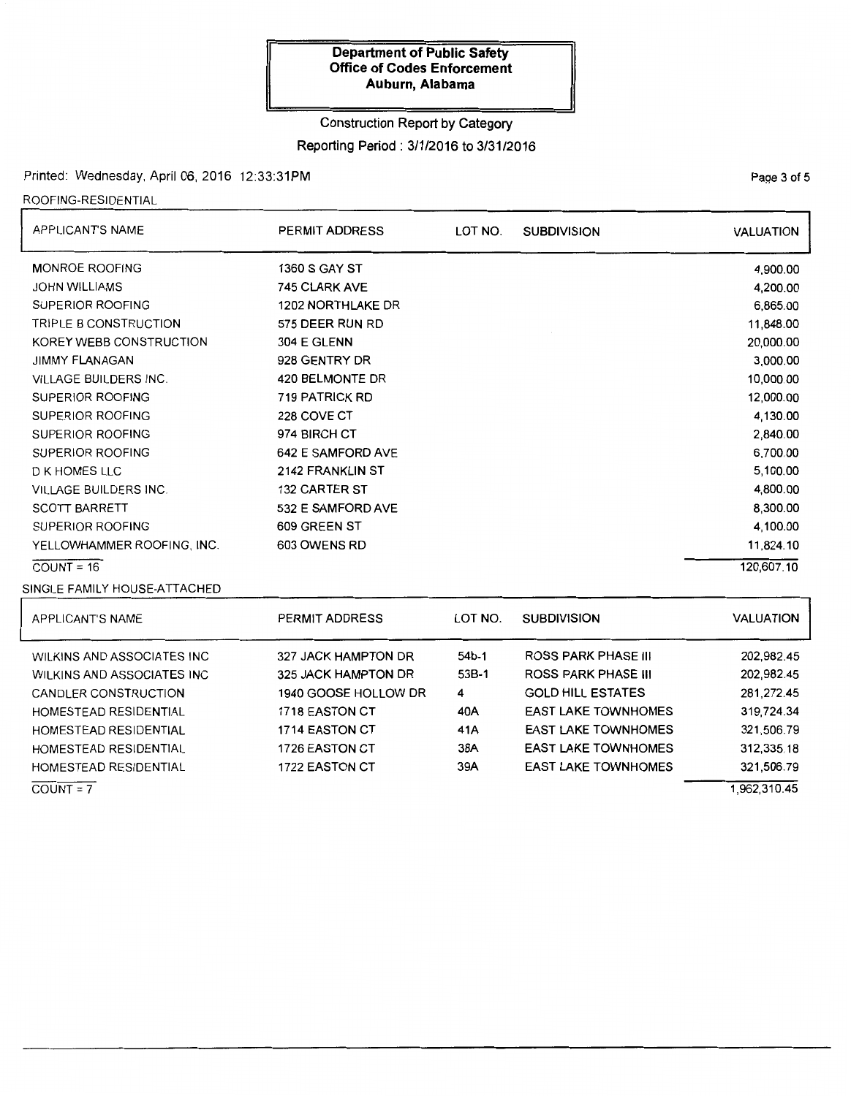### Construction Report by Category

Reporting Period: 3/1/2016 to 3/31/2016

## Printed: Wednesday, April 06, 2016 12:33:31PM

ROOFING-RESIDENTIAL

| APPLICANT'S NAME             | PERMIT ADDRESS       | LOT NO. | <b>SUBDIVISION</b> | <b>VALUATION</b> |
|------------------------------|----------------------|---------|--------------------|------------------|
| <b>MONROE ROOFING</b>        | <b>1360 S GAY ST</b> |         |                    | 4,900.00         |
| <b>JOHN WILLIAMS</b>         | <b>745 CLARK AVE</b> |         |                    | 4,200.00         |
| SUPERIOR ROOFING             | 1202 NORTHLAKE DR    |         |                    | 6,865.00         |
| TRIPLE B CONSTRUCTION        | 575 DEER RUN RD      |         |                    | 11,848.00        |
| KOREY WEBB CONSTRUCTION      | 304 E GLENN          |         |                    | 20,000.00        |
| <b>JIMMY FLANAGAN</b>        | 928 GENTRY DR        |         |                    | 3,000.00         |
| <b>VILLAGE BUILDERS INC.</b> | 420 BELMONTE DR      |         |                    | 10,000.00        |
| SUPERIOR ROOFING             | 719 PATRICK RD       |         |                    | 12,000.00        |
| <b>SUPERIOR ROOFING</b>      | 228 COVE CT          |         |                    | 4,130.00         |
| <b>SUPERIOR ROOFING</b>      | 974 BIRCH CT         |         |                    | 2,840.00         |
| <b>SUPERIOR ROOFING</b>      | 642 E SAMFORD AVE    |         |                    | 6,700.00         |
| D K HOMES LLC                | 2142 FRANKLIN ST     |         |                    | 5,100.00         |
| <b>VILLAGE BUILDERS INC.</b> | 132 CARTER ST        |         |                    | 4,800.00         |
| <b>SCOTT BARRETT</b>         | 532 E SAMFORD AVE    |         |                    | 8,300.00         |
| SUPERIOR ROOFING             | 609 GREEN ST         |         |                    | 4,100.00         |
| YELLOWHAMMER ROOFING, INC.   | 603 OWENS RD         |         |                    | 11,824.10        |
| $COUNT = 16$                 |                      |         |                    | 120,607.10       |
| SINGLE FAMILY HOUSE-ATTACHED |                      |         |                    |                  |

| APPLICANT'S NAME                                                                                                                          | PERMIT ADDRESS                                                                                                       | LOT NO.                             | <b>SUBDIVISION</b>                                                                                                                               | <b>VALUATION</b>                                                   |
|-------------------------------------------------------------------------------------------------------------------------------------------|----------------------------------------------------------------------------------------------------------------------|-------------------------------------|--------------------------------------------------------------------------------------------------------------------------------------------------|--------------------------------------------------------------------|
| <b>WILKINS AND ASSOCIATES INC</b><br>WILKINS AND ASSOCIATES INC<br>CANDLER CONSTRUCTION<br>HOMESTEAD RESIDENTIAL<br>HOMESTEAD RESIDENTIAL | 327 JACK HAMPTON DR<br>325 JACK HAMPTON DR<br>1940 GOOSE HOLLOW DR<br><b>1718 EASTON CT</b><br><b>1714 EASTON CT</b> | $54b-1$<br>53B-1<br>4<br>40A<br>41A | <b>ROSS PARK PHASE III</b><br><b>ROSS PARK PHASE III</b><br><b>GOLD HILL ESTATES</b><br><b>EAST LAKE TOWNHOMES</b><br><b>EAST LAKE TOWNHOMES</b> | 202,982.45<br>202,982.45<br>281,272.45<br>319,724.34<br>321,506.79 |
| HOMESTEAD RESIDENTIAL<br>HOMESTEAD RESIDENTIAL<br>$COUNT = 7$                                                                             | 1726 EASTON CT<br><b>1722 EASTON CT</b>                                                                              | 38A<br>39A                          | <b>EAST LAKE TOWNHOMES</b><br><b>EAST LAKE TOWNHOMES</b>                                                                                         | 312,335.18<br>321,506.79<br>1.962.310.45                           |

Page 3 of 5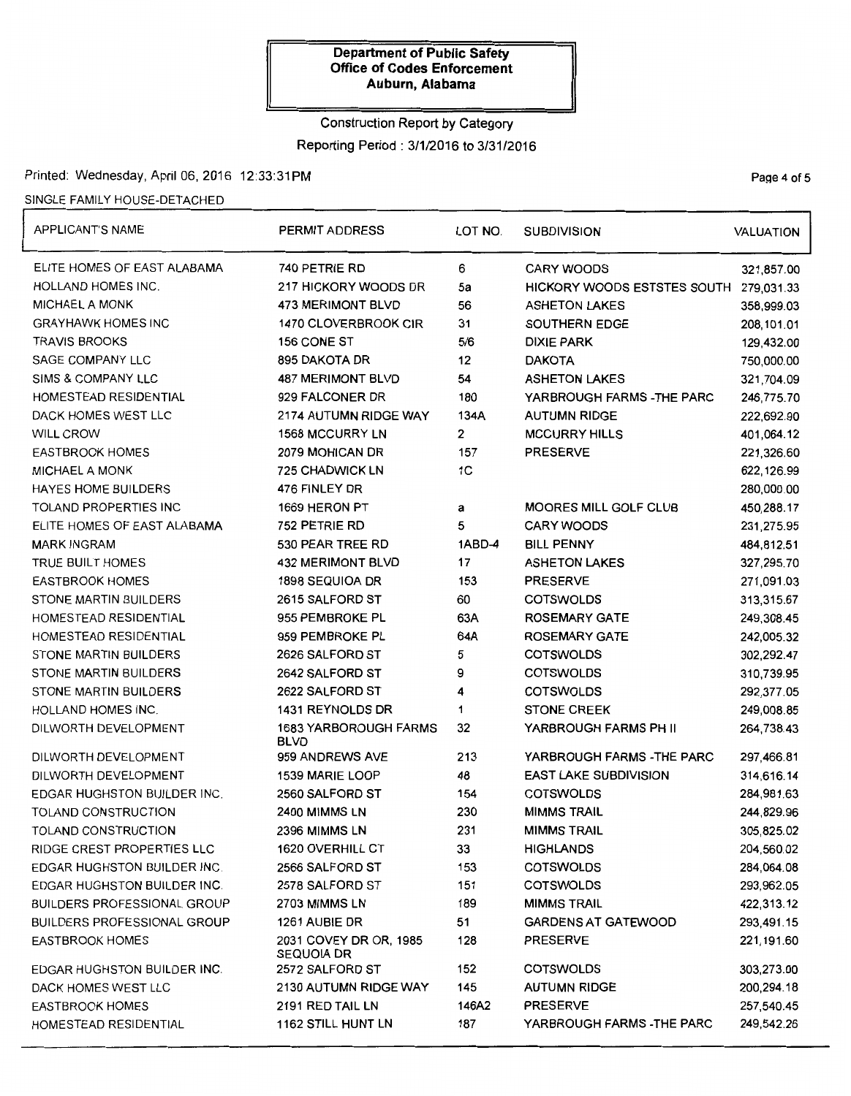# Construction Report by Category Reporting Period: 3/1/2016 to 3/31/2016

# Printed: Wednesday, April 06,2016 12:33:31PM

### SINGLE FAMILY HOUSE-DETACHED

| APPLICANT'S NAME                   | PERMIT ADDRESS                              | LOT NO.        | <b>SUBDIVISION</b>           | <b>VALUATION</b> |  |
|------------------------------------|---------------------------------------------|----------------|------------------------------|------------------|--|
| ELITE HOMES OF EAST ALABAMA        | 740 PETRIE RD                               | 6              | <b>CARY WOODS</b>            | 321,857.00       |  |
| HOLLAND HOMES INC.                 | 217 HICKORY WOODS DR                        | 5a             | HICKORY WOODS ESTSTES SOUTH  |                  |  |
| <b>MICHAEL A MONK</b>              | 473 MERIMONT BLVD                           | 56             | <b>ASHETON LAKES</b>         | 358,999.03       |  |
| <b>GRAYHAWK HOMES INC</b>          | 1470 CLOVERBROOK CIR                        | 31             | SOUTHERN EDGE                | 208,101.01       |  |
| <b>TRAVIS BROOKS</b>               | 156 CONE ST                                 | 5/6            | <b>DIXIE PARK</b>            | 129,432.00       |  |
| SAGE COMPANY LLC                   | 895 DAKOTA DR                               | 12             | <b>DAKOTA</b>                | 750,000.00       |  |
| SIMS & COMPANY LLC                 | <b>487 MERIMONT BLVD</b>                    | 54             | <b>ASHETON LAKES</b>         | 321,704.09       |  |
| HOMESTEAD RESIDENTIAL              | 929 FALCONER DR                             | 180            | YARBROUGH FARMS -THE PARC    | 246,775.70       |  |
| DACK HOMES WEST LLC                | 2174 AUTUMN RIDGE WAY                       | 134A           | <b>AUTUMN RIDGE</b>          | 222,692.90       |  |
| WILL CROW                          | <b>1568 MCCURRY LN</b>                      | 2              | <b>MCCURRY HILLS</b>         | 401,064.12       |  |
| <b>EASTBROOK HOMES</b>             | 2079 MOHICAN DR                             | 157            | <b>PRESERVE</b>              | 221,326.60       |  |
| <b>MICHAEL A MONK</b>              | <b>725 CHADWICK LN</b>                      | 1 <sub>C</sub> |                              | 622, 126.99      |  |
| <b>HAYES HOME BUILDERS</b>         | 476 FINLEY DR                               |                |                              | 280,000.00       |  |
| TOLAND PROPERTIES INC              | 1669 HERON PT                               | а              | <b>MOORES MILL GOLF CLUB</b> | 450,288.17       |  |
| ELITE HOMES OF EAST ALABAMA        | 752 PETRIE RD                               | 5              | <b>CARY WOODS</b>            | 231,275.95       |  |
| <b>MARK INGRAM</b>                 | 530 PEAR TREE RD                            | 1ABD-4         | <b>BILL PENNY</b>            | 484,812.51       |  |
| TRUE BUILT HOMES                   | <b>432 MERIMONT BLVD</b>                    | 17             | <b>ASHETON LAKES</b>         | 327,295.70       |  |
| <b>EASTBROOK HOMES</b>             | 1898 SEQUIOA DR                             | 153            | <b>PRESERVE</b>              | 271,091.03       |  |
| STONE MARTIN BUILDERS              | 2615 SALFORD ST                             | 60             | <b>COTSWOLDS</b>             | 313,315.67       |  |
| HOMESTEAD RESIDENTIAL              | 955 PEMBROKE PL                             | 63A            | <b>ROSEMARY GATE</b>         | 249,308.45       |  |
| HOMESTEAD RESIDENTIAL              | 959 PEMBROKE PL                             | 64A            | <b>ROSEMARY GATE</b>         | 242,005.32       |  |
| STONE MARTIN BUILDERS              | 2626 SALFORD ST                             | 5              | <b>COTSWOLDS</b>             | 302,292.47       |  |
| STONE MARTIN BUILDERS              | 2642 SALFORD ST                             | 9              | <b>COTSWOLDS</b>             | 310,739.95       |  |
| STONE MARTIN BUILDERS              | 2622 SALFORD ST                             | 4              | <b>COTSWOLDS</b>             | 292,377.05       |  |
| HOLLAND HOMES INC.                 | 1431 REYNOLDS DR                            | 1              | <b>STONE CREEK</b>           | 249,008.85       |  |
| DILWORTH DEVELOPMENT               | <b>1683 YARBOROUGH FARMS</b><br><b>BLVD</b> | 32             | YARBROUGH FARMS PH II        | 264,738.43       |  |
| DILWORTH DEVELOPMENT               | 959 ANDREWS AVE                             | 213            | YARBROUGH FARMS -THE PARC    | 297,466.81       |  |
| DILWORTH DEVELOPMENT               | 1539 MARIE LOOP                             | 48             | <b>EAST LAKE SUBDIVISION</b> | 314,616.14       |  |
| EDGAR HUGHSTON BUILDER INC.        | 2560 SALFORD ST                             | 154            | <b>COTSWOLDS</b>             | 284,981.63       |  |
| TOLAND CONSTRUCTION                | 2400 MIMMS LN                               | 230            | <b>MIMMS TRAIL</b>           | 244,829.96       |  |
| TOLAND CONSTRUCTION                | 2396 MIMMS LN                               | 231            | <b>MIMMS TRAIL</b>           | 305,825.02       |  |
| RIDGE CREST PROPERTIES LLC         | 1620 OVERHILL CT                            | 33             | <b>HIGHLANDS</b>             | 204,560.02       |  |
| EDGAR HUGHSTON BUILDER INC.        | 2566 SALFORD ST                             | 153            | <b>COTSWOLDS</b>             | 284,064.08       |  |
| EDGAR HUGHSTON BUILDER INC.        | 2578 SALFORD ST                             | 151            | <b>COTSWOLDS</b>             | 293,962.05       |  |
| <b>BUILDERS PROFESSIONAL GROUP</b> | 2703 MIMMS LN                               | 189            | <b>MIMMS TRAIL</b>           | 422,313.12       |  |
| BUILDERS PROFESSIONAL GROUP        | 1261 AUBIE DR                               | 51             | <b>GARDENS AT GATEWOOD</b>   | 293,491.15       |  |
| <b>EASTBROOK HOMES</b>             | 2031 COVEY DR OR, 1985<br><b>SEQUOIA DR</b> | 128            | <b>PRESERVE</b>              | 221,191.60       |  |
| EDGAR HUGHSTON BUILDER INC.        | <b>2572 SALFORD ST</b>                      | 152            | <b>COTSWOLDS</b>             | 303,273.00       |  |
| DACK HOMES WEST LLC                | 2130 AUTUMN RIDGE WAY                       | 145            | <b>AUTUMN RIDGE</b>          | 200,294.18       |  |
| EASTBROOK HOMES                    | 2191 RED TAIL LN                            | 146A2          | <b>PRESERVE</b>              | 257,540.45       |  |
| HOMESTEAD RESIDENTIAL              | 1162 STILL HUNT LN                          | 187            | YARBROUGH FARMS -THE PARC    | 249,542.26       |  |

Page 4 of 5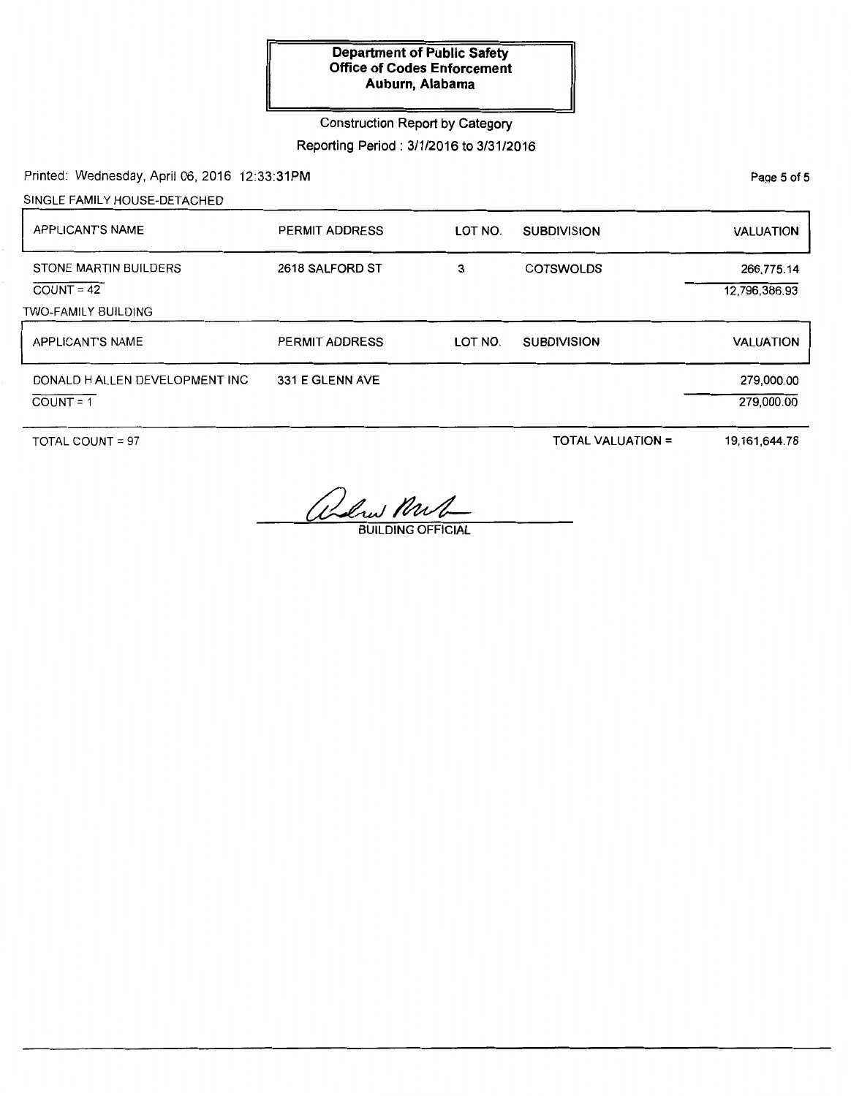Construction Report by Category

Reporting Period: 3/1/2016 to 3/31/2016

Printed: Wednesday, April 06, 2016 12:33:31PM

SINGLE FAMILY HOUSE-DETACHED

| <b>APPLICANT'S NAME</b>                                      | <b>PERMIT ADDRESS</b> | LOT NO. | <b>SUBDIVISION</b> | <b>VALUATION</b>            |
|--------------------------------------------------------------|-----------------------|---------|--------------------|-----------------------------|
| STONE MARTIN BUILDERS<br>$COUNT = 42$<br>TWO-FAMILY BUILDING | 2618 SALFORD ST       | 3       | <b>COTSWOLDS</b>   | 266,775.14<br>12,796,386.93 |
| APPLICANT'S NAME                                             | <b>PERMIT ADDRESS</b> | LOT NO. | <b>SUBDIVISION</b> | <b>VALUATION</b>            |
| DONALD H ALLEN DEVELOPMENT INC<br>$COUNT = 1$                | 331 E GLENN AVE       |         |                    | 279,000.00<br>279,000.00    |

TOTAL COUNT = 97

TOTAL VALUATION =

19,161,644.78

Alus Nul

PaQe 5 of 5